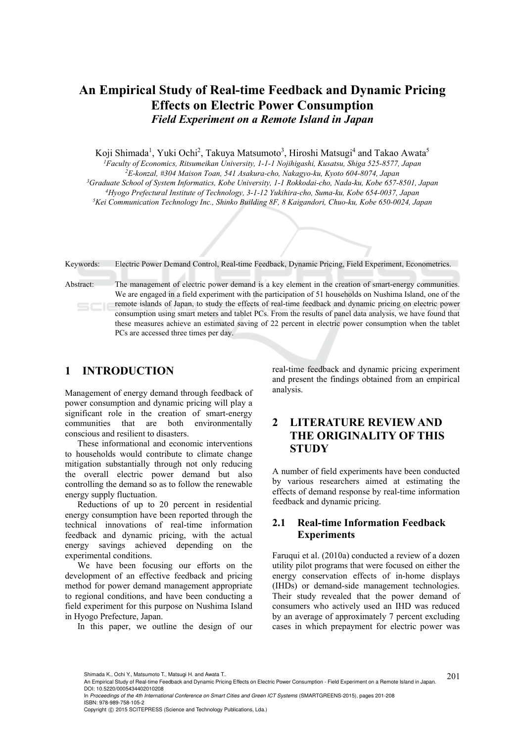# **An Empirical Study of Real-time Feedback and Dynamic Pricing Effects on Electric Power Consumption**  *Field Experiment on a Remote Island in Japan*

Koji Shimada<sup>1</sup>, Yuki Ochi<sup>2</sup>, Takuya Matsumoto<sup>3</sup>, Hiroshi Matsugi<sup>4</sup> and Takao Awata<sup>5</sup>

<sup>1</sup>Faculty of Economics, Ritsumeikan University, 1-1-1 Nojihigashi, Kusatsu, Shiga 525-8577, Japan<br><sup>2</sup>E-konzal, #304 Maison Toan, 541 Asakura-cho, Nakagyo-ku, Kyoto 604-8074, Japan<br><sup>3</sup>Graduate School of System Informatics

Keywords: Electric Power Demand Control, Real-time Feedback, Dynamic Pricing, Field Experiment, Econometrics.

Abstract: The management of electric power demand is a key element in the creation of smart-energy communities. We are engaged in a field experiment with the participation of 51 households on Nushima Island, one of the remote islands of Japan, to study the effects of real-time feedback and dynamic pricing on electric power  $SCIE$ consumption using smart meters and tablet PCs. From the results of panel data analysis, we have found that these measures achieve an estimated saving of 22 percent in electric power consumption when the tablet PCs are accessed three times per day.

## **1 INTRODUCTION**

Management of energy demand through feedback of power consumption and dynamic pricing will play a significant role in the creation of smart-energy communities that are both environmentally conscious and resilient to disasters.

These informational and economic interventions to households would contribute to climate change mitigation substantially through not only reducing the overall electric power demand but also controlling the demand so as to follow the renewable energy supply fluctuation.

Reductions of up to 20 percent in residential energy consumption have been reported through the technical innovations of real-time information feedback and dynamic pricing, with the actual energy savings achieved depending on the experimental conditions.

We have been focusing our efforts on the development of an effective feedback and pricing method for power demand management appropriate to regional conditions, and have been conducting a field experiment for this purpose on Nushima Island in Hyogo Prefecture, Japan.

In this paper, we outline the design of our

real-time feedback and dynamic pricing experiment and present the findings obtained from an empirical analysis.

# **2 LITERATURE REVIEW AND THE ORIGINALITY OF THIS STUDY**

A number of field experiments have been conducted by various researchers aimed at estimating the effects of demand response by real-time information feedback and dynamic pricing.

# **2.1 Real-time Information Feedback Experiments**

Faruqui et al. (2010a) conducted a review of a dozen utility pilot programs that were focused on either the energy conservation effects of in-home displays (IHDs) or demand-side management technologies. Their study revealed that the power demand of consumers who actively used an IHD was reduced by an average of approximately 7 percent excluding cases in which prepayment for electric power was

In *Proceedings of the 4th International Conference on Smart Cities and Green ICT Systems* (SMARTGREENS-2015), pages 201-208 ISBN: 978-989-758-105-2

Copyright © 2015 SCITEPRESS (Science and Technology Publications, Lda.)

Shimada K., Ochi Y., Matsumoto T., Matsugi H. and Awata T..<br>An Empirical Study of Real-time Feedback and Dynamic Pricing Effects on Electric Power Consumption - Field Experiment on a Remote Island in Japan. 201 DOI: 10.5220/0005434402010208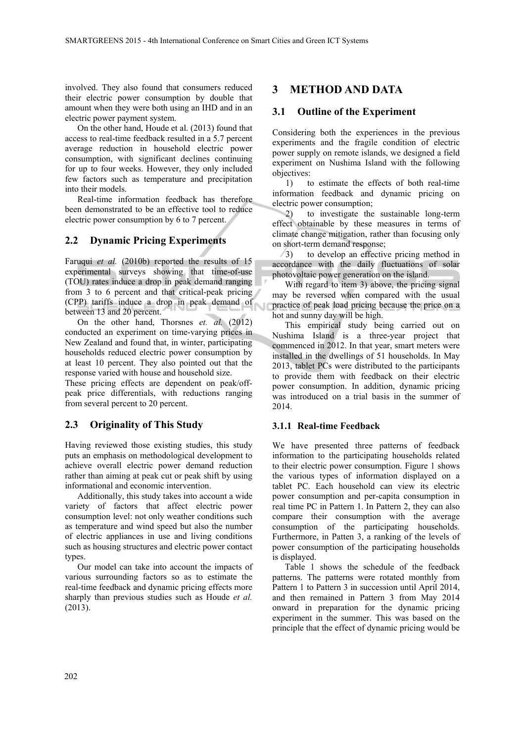involved. They also found that consumers reduced their electric power consumption by double that amount when they were both using an IHD and in an electric power payment system.

On the other hand, Houde et al. (2013) found that access to real-time feedback resulted in a 5.7 percent average reduction in household electric power consumption, with significant declines continuing for up to four weeks. However, they only included few factors such as temperature and precipitation into their models.

Real-time information feedback has therefore been demonstrated to be an effective tool to reduce electric power consumption by 6 to 7 percent.

#### **2.2 Dynamic Pricing Experiments**

Faruqui *et al.* (2010b) reported the results of 15 experimental surveys showing that time-of-use (TOU) rates induce a drop in peak demand ranging from 3 to 6 percent and that critical-peak pricing (CPP) tariffs induce a drop in peak demand of between 13 and 20 percent.

On the other hand, Thorsnes *et. al.* (2012) conducted an experiment on time-varying prices in New Zealand and found that, in winter, participating households reduced electric power consumption by at least 10 percent. They also pointed out that the response varied with house and household size.

These pricing effects are dependent on peak/offpeak price differentials, with reductions ranging from several percent to 20 percent.

#### **2.3 Originality of This Study**

Having reviewed those existing studies, this study puts an emphasis on methodological development to achieve overall electric power demand reduction rather than aiming at peak cut or peak shift by using informational and economic intervention.

Additionally, this study takes into account a wide variety of factors that affect electric power consumption level: not only weather conditions such as temperature and wind speed but also the number of electric appliances in use and living conditions such as housing structures and electric power contact types.

Our model can take into account the impacts of various surrounding factors so as to estimate the real-time feedback and dynamic pricing effects more sharply than previous studies such as Houde *et al.* (2013).

# **3 METHOD AND DATA**

### **3.1 Outline of the Experiment**

Considering both the experiences in the previous experiments and the fragile condition of electric power supply on remote islands, we designed a field experiment on Nushima Island with the following objectives:

1) to estimate the effects of both real-time information feedback and dynamic pricing on electric power consumption;

2) to investigate the sustainable long-term effect obtainable by these measures in terms of climate change mitigation, rather than focusing only on short-term demand response;

3) to develop an effective pricing method in accordance with the daily fluctuations of solar photovoltaic power generation on the island.

With regard to item 3) above, the pricing signal may be reversed when compared with the usual practice of peak load pricing because the price on a hot and sunny day will be high.

This empirical study being carried out on Nushima Island is a three-year project that commenced in 2012. In that year, smart meters were installed in the dwellings of 51 households. In May 2013, tablet PCs were distributed to the participants to provide them with feedback on their electric power consumption. In addition, dynamic pricing was introduced on a trial basis in the summer of 2014.

#### **3.1.1 Real-time Feedback**

We have presented three patterns of feedback information to the participating households related to their electric power consumption. Figure 1 shows the various types of information displayed on a tablet PC. Each household can view its electric power consumption and per-capita consumption in real time PC in Pattern 1. In Pattern 2, they can also compare their consumption with the average consumption of the participating households. Furthermore, in Patten 3, a ranking of the levels of power consumption of the participating households is displayed.

Table 1 shows the schedule of the feedback patterns. The patterns were rotated monthly from Pattern 1 to Pattern 3 in succession until April 2014, and then remained in Pattern 3 from May 2014 onward in preparation for the dynamic pricing experiment in the summer. This was based on the principle that the effect of dynamic pricing would be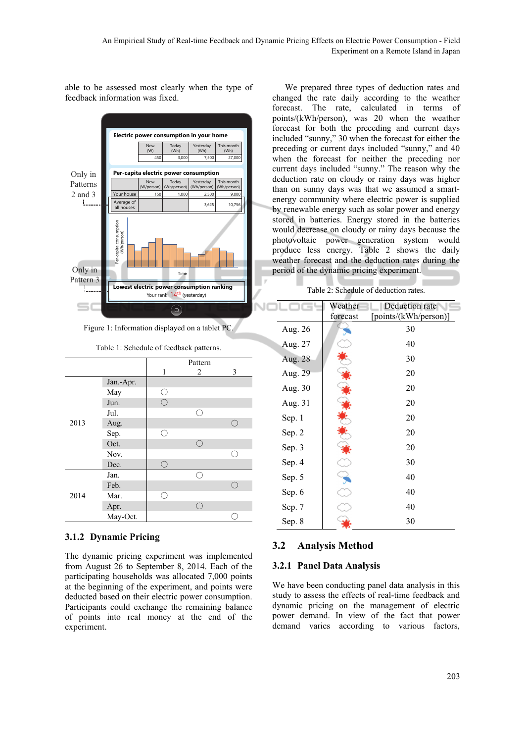

able to be assessed most clearly when the type of feedback information was fixed.

Figure 1: Information displayed on a tablet PC.

|      |           |         | Pattern |   |
|------|-----------|---------|---------|---|
|      |           | 1       | 2       | 3 |
|      | Jan.-Apr. |         |         |   |
|      | May       | ()      |         |   |
|      | Jun.      | $( \ )$ |         |   |
|      | Jul.      |         | Γ.      |   |
| 2013 | Aug.      |         |         | ∩ |
|      | Sep.      |         |         |   |
|      | Oct.      |         | ( )     |   |
|      | Nov.      |         |         | 0 |
|      | Dec.      | ( )     |         |   |
|      | Jan.      |         |         |   |
|      | Feb.      |         |         | ∩ |
| 2014 | Mar.      |         |         |   |
|      | Apr.      |         |         |   |
|      | May-Oct.  |         |         |   |

#### Table 1: Schedule of feedback patterns.

#### **3.1.2 Dynamic Pricing**

The dynamic pricing experiment was implemented from August 26 to September 8, 2014. Each of the participating households was allocated 7,000 points at the beginning of the experiment, and points were deducted based on their electric power consumption. Participants could exchange the remaining balance of points into real money at the end of the experiment.

We prepared three types of deduction rates and changed the rate daily according to the weather forecast. The rate, calculated in terms of points/(kWh/person), was 20 when the weather forecast for both the preceding and current days included "sunny," 30 when the forecast for either the preceding or current days included "sunny," and 40 when the forecast for neither the preceding nor current days included "sunny." The reason why the deduction rate on cloudy or rainy days was higher than on sunny days was that we assumed a smartenergy community where electric power is supplied by renewable energy such as solar power and energy stored in batteries. Energy stored in the batteries would decrease on cloudy or rainy days because the photovoltaic power generation system would produce less energy. Table 2 shows the daily weather forecast and the deduction rates during the period of the dynamic pricing experiment.

Table 2: Schedule of deduction rates.

|         | Weather  | Deduction rate        |  |
|---------|----------|-----------------------|--|
|         | forecast | [points/(kWh/person)] |  |
| Aug. 26 |          | 30                    |  |
| Aug. 27 |          | 40                    |  |
| Aug. 28 |          | 30                    |  |
| Aug. 29 |          | 20                    |  |
| Aug. 30 |          | 20                    |  |
| Aug. 31 |          | 20                    |  |
| Sep. 1  |          | 20                    |  |
| Sep. 2  |          | 20                    |  |
| Sep. 3  |          | 20                    |  |
| Sep. 4  |          | 30                    |  |
| Sep. 5  |          | 40                    |  |
| Sep. 6  |          | 40                    |  |
| Sep. 7  |          | 40                    |  |
| Sep. 8  |          | 30                    |  |

#### **3.2 Analysis Method**

#### **3.2.1 Panel Data Analysis**

We have been conducting panel data analysis in this study to assess the effects of real-time feedback and dynamic pricing on the management of electric power demand. In view of the fact that power demand varies according to various factors,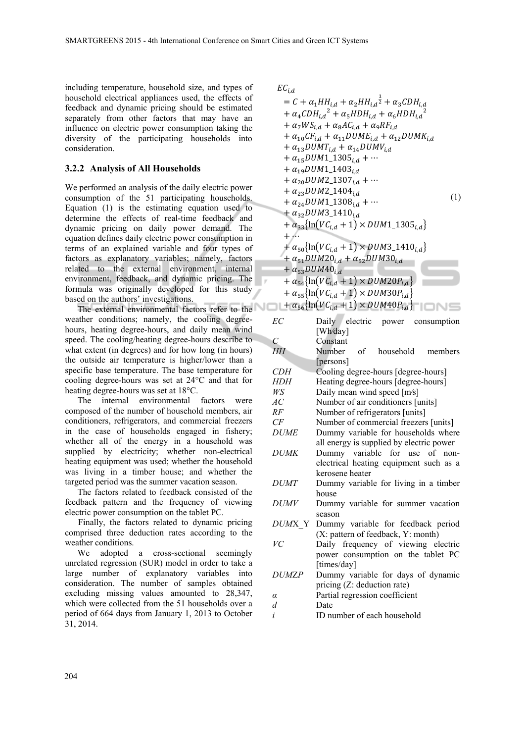including temperature, household size, and types of household electrical appliances used, the effects of feedback and dynamic pricing should be estimated separately from other factors that may have an influence on electric power consumption taking the diversity of the participating households into consideration.

#### **3.2.2 Analysis of All Households**

We performed an analysis of the daily electric power consumption of the 51 participating households. Equation (1) is the estimating equation used to determine the effects of real-time feedback and dynamic pricing on daily power demand. The equation defines daily electric power consumption in terms of an explained variable and four types of factors as explanatory variables; namely, factors related to the external environment, internal environment, feedback, and dynamic pricing. The formula was originally developed for this study based on the authors' investigations.

The external environmental factors refer to the weather conditions; namely, the cooling degreehours, heating degree-hours, and daily mean wind speed. The cooling/heating degree-hours describe to what extent (in degrees) and for how long (in hours) the outside air temperature is higher/lower than a specific base temperature. The base temperature for cooling degree-hours was set at 24°C and that for heating degree-hours was set at 18°C.

The internal environmental factors were composed of the number of household members, air conditioners, refrigerators, and commercial freezers in the case of households engaged in fishery; whether all of the energy in a household was supplied by electricity; whether non-electrical heating equipment was used; whether the household was living in a timber house; and whether the targeted period was the summer vacation season.

The factors related to feedback consisted of the feedback pattern and the frequency of viewing electric power consumption on the tablet PC.

Finally, the factors related to dynamic pricing comprised three deduction rates according to the weather conditions.

We adopted a cross-sectional seemingly unrelated regression (SUR) model in order to take a large number of explanatory variables into consideration. The number of samples obtained excluding missing values amounted to 28,347, which were collected from the 51 households over a period of 664 days from January 1, 2013 to October 31, 2014.

 $EC_{i.d}$ 

$$
= C + \alpha_{1}HH_{i,d} + \alpha_{2}HH_{i,d}^{\frac{1}{2}} + \alpha_{3}CDH_{i,d} + \alpha_{4}CDH_{i,d}^{\frac{2}{2}} + \alpha_{5}HDH_{i,d} + \alpha_{6}HDH_{i,d}^{\frac{2}{2}} + \alpha_{7}W_{S_{i,d}} + \alpha_{8}AC_{i,d} + \alpha_{9}RF_{i,d} + \alpha_{10}CF_{i,d} + \alpha_{11}DUM_{E_{i,d}} + \alpha_{12}DUM_{K_{i,d}} + \alpha_{13}DUM_{1,d}^{\frac{1}{2}} + \alpha_{14}DUM_{i,d} + \alpha_{15}DUM_{1,d}^{\frac{1}{2}} + \alpha_{14}DUM_{i,d} + \alpha_{19}DUM_{1,d}^{\frac{1}{2}} + \alpha_{20}DUM_{2,d}^{\frac{1}{2}} + \cdots + \alpha_{20}DUM_{2,d}^{\frac{1}{2}} + \alpha_{24}DUM_{1,d}^{\frac{1}{2}} + \alpha_{24}DUM_{1,d}^{\frac{1}{2}} + \alpha_{32}DUM_{3,d}^{\frac{1}{2}} + \cdots + \alpha_{32}DUM_{3,d}^{\frac{1}{2}} + \alpha_{33} \{\ln(VC_{i,d} + 1) \times DUM_{1,d}^{\frac{1}{2}}\} + \cdots + \alpha_{50} \{\ln(VC_{i,d} + 1) \times DUM_{3,d}^{\frac{1}{2}} + \alpha_{51}DUM_{1,d}^{\frac{1}{2}} + \alpha_{54} \{\ln(VC_{i,d} + 1) \times DUM_{20}P_{i,d}\} + \alpha_{54} \{\ln(VC_{i,d} + 1) \times DUM_{30}P_{i,d}\} + \alpha_{56} \{\ln(VC_{i,d} + 1) \times DUM_{30}P_{i,d}\} + \alpha_{56} \{\ln(VC_{i,d} + 1) \times DUM_{40}P_{i,d}\} \qquad \text{and} \qquad \text{and} \qquad \text{and} \qquad \text{and} \qquad \text{and} \qquad \text{and} \qquad \text{and} \qquad \text{and} \qquad \text{and} \qquad \text{and} \qquad \text{and} \qquad \text{and} \qquad \text{and} \qquad \text{
$$

| EС           | Daily electric power consumption         |
|--------------|------------------------------------------|
|              | [Wh/day]                                 |
| C            | Constant                                 |
| HH           | Number of<br>household<br>members        |
|              | [persons]                                |
| <i>CDH</i>   | Cooling degree-hours [degree-hours]      |
| HDH          | Heating degree-hours [degree-hours]      |
| WS           | Daily mean wind speed [m/s]              |
| AC           | Number of air conditioners [units]       |
| RF           | Number of refrigerators [units]          |
| CF           | Number of commercial freezers [units]    |
| <b>DUME</b>  | Dummy variable for households where      |
|              | all energy is supplied by electric power |
| <b>DUMK</b>  | Dummy variable for use of non-           |
|              | electrical heating equipment such as a   |
|              | kerosene heater                          |
| <i>DUMT</i>  | Dummy variable for living in a timber    |
|              | house                                    |
| <i>DUMV</i>  | Dummy variable for summer vacation       |
|              | season                                   |
| DUMX Y       | Dummy variable for feedback period       |
|              | (X: pattern of feedback, Y: month)       |
| VC           | Daily frequency of viewing electric      |
|              | power consumption on the tablet PC       |
|              | [times/day]                              |
| <i>DUMZP</i> | Dummy variable for days of dynamic       |
|              | pricing (Z: deduction rate)              |
| $\alpha$     | Partial regression coefficient           |
| d            | Date                                     |
| i            | ID number of each household              |
|              |                                          |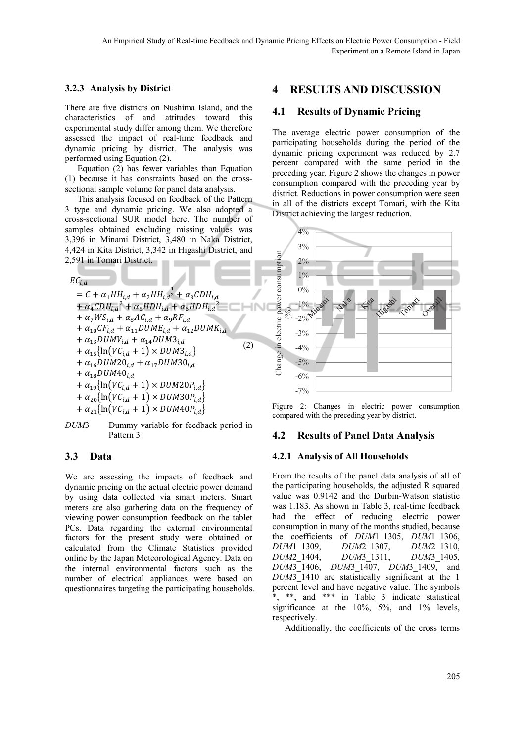#### **3.2.3 Analysis by District**

There are five districts on Nushima Island, and the characteristics of and attitudes toward this experimental study differ among them. We therefore assessed the impact of real-time feedback and dynamic pricing by district. The analysis was performed using Equation (2).

Equation (2) has fewer variables than Equation (1) because it has constraints based on the crosssectional sample volume for panel data analysis.

This analysis focused on feedback of the Pattern 3 type and dynamic pricing. We also adopted a cross-sectional SUR model here. The number of samples obtained excluding missing values was 3,396 in Minami District, 3,480 in Naka District, 4,424 in Kita District, 3,342 in Higashi District, and 2,591 in Tomari District.

 $EC_{i,d}$ 

$$
= C + \alpha_1 HH_{i,d} + \alpha_2 HH_{i,d}^{\frac{1}{2}} + \alpha_3 CDH_{i,d} + \alpha_4 CDH_{i,d}^{\frac{2}{2}} + \alpha_5 HDH_{i,d} + \alpha_6 HDH_{i,d}^{\frac{2}{2}} + \alpha_7 W S_{i,d} + \alpha_8 AC_{i,d} + \alpha_9 RF_{i,d} + \alpha_{10} CF_{i,d} + \alpha_{11} D U ME_{i,d} + \alpha_{12} D U MK_{i,d} + \alpha_{13} D U MV_{i,d} + \alpha_{14} D U M 3_{i,d} + \alpha_{15} \{\ln(V C_{i,d} + 1) \times D U M 3_{i,d}\} + \alpha_{16} D U M 20_{i,d} + \alpha_{17} D U M 30_{i,d} + \alpha_{19} \{\ln(V C_{i,d} + 1) \times D U M 20 P_{i,d}\} + \alpha_{20} \{\ln(V C_{i,d} + 1) \times D U M 30 P_{i,d}\} + \alpha_{21} \{\ln(V C_{i,d} + 1) \times D U M 40 P_{i,d}\}
$$

*DUM*3 Dummy variable for feedback period in Pattern 3

#### **3.3 Data**

We are assessing the impacts of feedback and dynamic pricing on the actual electric power demand by using data collected via smart meters. Smart meters are also gathering data on the frequency of viewing power consumption feedback on the tablet PCs. Data regarding the external environmental factors for the present study were obtained or calculated from the Climate Statistics provided online by the Japan Meteorological Agency. Data on the internal environmental factors such as the number of electrical appliances were based on questionnaires targeting the participating households.

# **4 RESULTS AND DISCUSSION**

#### **4.1 Results of Dynamic Pricing**

The average electric power consumption of the participating households during the period of the dynamic pricing experiment was reduced by 2.7 percent compared with the same period in the preceding year. Figure 2 shows the changes in power consumption compared with the preceding year by district. Reductions in power consumption were seen in all of the districts except Tomari, with the Kita District achieving the largest reduction.



Figure 2: Changes in electric power consumption compared with the preceding year by district.

#### **4.2 Results of Panel Data Analysis**

#### **4.2.1 Analysis of All Households**

From the results of the panel data analysis of all of the participating households, the adjusted R squared value was 0.9142 and the Durbin-Watson statistic was 1.183. As shown in Table 3, real-time feedback had the effect of reducing electric power consumption in many of the months studied, because the coefficients of *DUM*1\_1305, *DUM*1\_1306, *DUM*1\_1309, *DUM*2\_1307, *DUM*2\_1310, *DUM*2\_1404, *DUM*3\_1311, *DUM*3\_1405, *DUM*3\_1406, *DUM*3\_1407, *DUM*3\_1409, and *DUM*3\_1410 are statistically significant at the 1 percent level and have negative value. The symbols \*, \*\*, and \*\*\* in Table 3 indicate statistical significance at the 10%, 5%, and 1% levels, respectively.

Additionally, the coefficients of the cross terms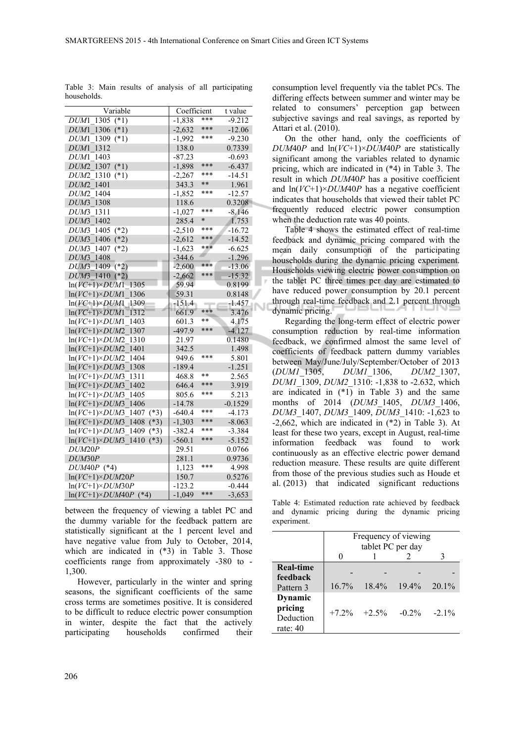| Variable                              | Coefficient |        | t value   |  |
|---------------------------------------|-------------|--------|-----------|--|
| $1305$ (*1)<br>DUM1                   | $-1,838$    | ***    | $-9.212$  |  |
| DUM1 1306 (*1)                        | $-2,632$    | ***    | $-12.06$  |  |
| $1309$ (*1)<br>DUM1                   | $-1,992$    | ***    | $-9.230$  |  |
| DUM1 1312                             | 138.0       |        | 0.7339    |  |
| DUM1 1403                             | $-87.23$    |        | $-0.693$  |  |
| $DUM2_1307$ (*1)                      | $-1,898$    | ***    | $-6.437$  |  |
| $(*1)$<br>DUM2 1310                   | $-2,267$    | ***    | -14.51    |  |
| 1401<br>DUM <sub>2</sub>              | 343.3       | $* *$  | 1.961     |  |
| DUM2 1404                             | $-1,852$    | ***    | -12.57    |  |
| DUM3 1308                             | 118.6       |        | 0.3208    |  |
| DUM3 1311                             | $-1,027$    | ***    | $-8.146$  |  |
| DUM3 1402                             | 285.4       | $\ast$ | 1.753     |  |
| DUM3 1405 (*2)                        | $-2,510$    | ***    | $-16.72$  |  |
| DUM3 1406 (*2)                        | $-2,612$    | ***    | $-14.52$  |  |
| DUM3 1407<br>$(*2)$                   | $-1,623$    | ***    | $-6.625$  |  |
| DUM3 1408                             | $-344.6$    |        | $-1.296$  |  |
| DUM3 1409 (*2)                        | $-2,600$    | ***    | $-13.06$  |  |
| $DUM3$ 1410 (*2)                      | $-2,662$    | ***    | $-15.32$  |  |
| $ln(VC+1)\times DUM1 - 1305$          | 59.94       |        | 0.8199    |  |
| $ln(VC+1)\times DUM1$ 1306            | 59.31       |        | 0.8148    |  |
| $ln(VC+1)\times DUM1$ 1309            | $-151.4$    |        | -1.457    |  |
| $ln(VC+1) \times DUM1$ 1312           | 661.9       | ***    | 3.476     |  |
| $ln(VC+1) \times DUM1$ 1403           | 601.3       | **     | 4.175     |  |
| $ln(VC+1) \times DUM2$ 1307           | $-497.9$    | ***    | $-4.127$  |  |
| $ln(VC+1) \times DUM2$ 1310           | 21.97       |        | 0.1480    |  |
| $ln(VC+1) \times DUM2$ 1401           | 342.5       |        | 1.498     |  |
| $ln(VC+1) \times DUM2$ 1404           | 949.6       | ***    | 5.801     |  |
| $ln(VC+1)\times DUM3$ 1308            | $-189.4$    |        | $-1.251$  |  |
| $ln(VC+1) \times DUM3$ 1311           | 468.8       | $**$   | 2.565     |  |
| $ln(VC+1) \times DUM3$ 1402           | 646.4       | ***    | 3.919     |  |
| $ln(VC+1) \times DUM3$ 1405           | 805.6       | ***    | 5.213     |  |
| $ln(VC+1) \times DUM3$ 1406           | $-14.78$    |        | $-0.1529$ |  |
| $ln(VC+1)\times DUM3$ 1407 (*3)       | -640.4      | ***    | -4.173    |  |
| $ln(VC+1) \times DUM3$ 1408 (*3)      | $-1,303$    | ***    | $-8.063$  |  |
| $ln(VC+1) \times DUM3$ 1409 (*3)      | $-382.4$    | ***    | $-3.384$  |  |
| $ln(VC+1) \times DUM3$ 1410<br>$(*3)$ | $-560.1$    | ***    | $-5.152$  |  |
| DUM20P                                | 29.51       |        | 0.0766    |  |
| DUM30P                                | 281.1       |        | 0.9736    |  |
| $DUM40P$ (*4)                         | 1,123       | ***    | 4.998     |  |
| $ln(VC+1)\times DUM20P$               | 150.7       |        | 0.5276    |  |
| $ln(VC+1)\times DUM30P$               | $-123.2$    |        | $-0.444$  |  |
| $ln(VC+1) \times DUM40P$ (*4)         | $-1.049$    | ***    | $-3,653$  |  |

Table 3: Main results of analysis of all participating households.

between the frequency of viewing a tablet PC and the dummy variable for the feedback pattern are statistically significant at the 1 percent level and have negative value from July to October, 2014, which are indicated in  $(*3)$  in Table 3. Those coefficients range from approximately -380 to - 1,300.

However, particularly in the winter and spring seasons, the significant coefficients of the same cross terms are sometimes positive. It is considered to be difficult to reduce electric power consumption in winter, despite the fact that the actively participating households confirmed their

consumption level frequently via the tablet PCs. The differing effects between summer and winter may be related to consumers' perception gap between subjective savings and real savings, as reported by Attari et al. (2010).

On the other hand, only the coefficients of *DUM*40*P* and ln(*VC*+1)×*DUM*40*P* are statistically significant among the variables related to dynamic pricing, which are indicated in (\*4) in Table 3. The result in which *DUM*40*P* has a positive coefficient and ln(*VC*+1)×*DUM*40*P* has a negative coefficient indicates that households that viewed their tablet PC frequently reduced electric power consumption when the deduction rate was 40 points.

Table 4 shows the estimated effect of real-time feedback and dynamic pricing compared with the mean daily consumption of the participating households during the dynamic pricing experiment. Households viewing electric power consumption on the tablet PC three times per day are estimated to have reduced power consumption by 20.1 percent through real-time feedback and 2.1 percent through dynamic pricing.

Regarding the long-term effect of electric power consumption reduction by real-time information feedback, we confirmed almost the same level of coefficients of feedback pattern dummy variables between May/June/July/September/October of 2013 (*DUM1*\_1305, *DUM1*\_1306, *DUM2*\_1307, *DUM1*\_1309, *DUM2*\_1310: -1,838 to -2.632, which are indicated in  $(*1)$  in Table 3) and the same months of 2014 (*DUM3*\_1405, *DUM3*\_1406, *DUM3*\_1407, *DUM3*\_1409, *DUM3*\_1410: -1,623 to -2,662, which are indicated in (\*2) in Table 3). At least for these two years, except in August, real-time information feedback was found to work continuously as an effective electric power demand reduction measure. These results are quite different from those of the previous studies such as Houde et al. (2013) that indicated significant reductions

Table 4: Estimated reduction rate achieved by feedback and dynamic pricing during the dynamic pricing experiment.

|                              | Frequency of viewing<br>tablet PC per day |                 |          |           |  |
|------------------------------|-------------------------------------------|-----------------|----------|-----------|--|
|                              |                                           |                 |          |           |  |
| <b>Real-time</b><br>feedback |                                           |                 |          |           |  |
| Pattern 3                    | $16.7\%$                                  | $18.4\%$        | $19.4\%$ | $-20.1\%$ |  |
| Dynamic<br>pricing           |                                           | $+7.2\% +2.5\%$ | $-0.2\%$ | $-2.1\%$  |  |
| Deduction<br>rate: $40$      |                                           |                 |          |           |  |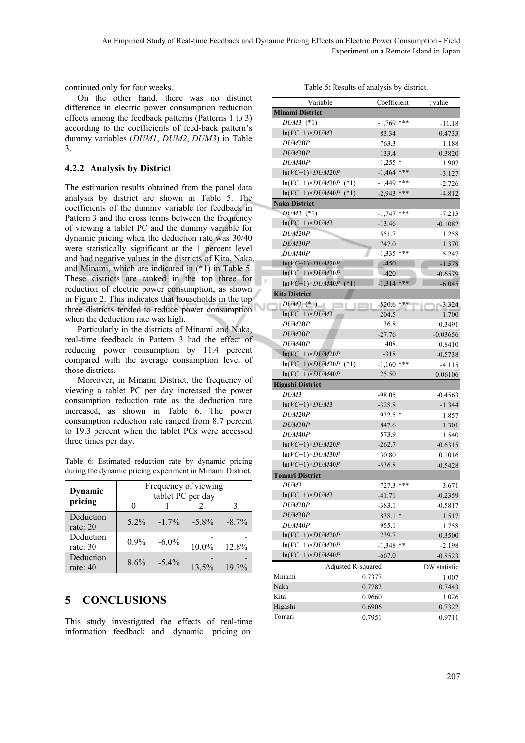continued only for four weeks.

On the other hand, there was no distinct difference in electric power consumption reduction effects among the feedback patterns (Patterns 1 to 3) according to the coefficients of feed-back pattern's dummy variables (*DUM1*, *DUM2*, *DUM3*) in Table 3.

### **4.2.2 Analysis by District**

The estimation results obtained from the panel data analysis by district are shown in Table 5. The coefficients of the dummy variable for feedback in Pattern 3 and the cross terms between the frequency of viewing a tablet PC and the dummy variable for dynamic pricing when the deduction rate was 30/40 were statistically significant at the 1 percent level and had negative values in the districts of Kita, Naka, and Minami, which are indicated in (\*1) in Table 5. These districts are ranked in the top three for reduction of electric power consumption, as shown in Figure 2. This indicates that households in the top three districts tended to reduce power consumption when the deduction rate was high.

Particularly in the districts of Minami and Naka, real-time feedback in Pattern 3 had the effect of reducing power consumption by 11.4 percent compared with the average consumption level of those districts.

Moreover, in Minami District, the frequency of viewing a tablet PC per day increased the power consumption reduction rate as the deduction rate increased, as shown in Table 6. The power consumption reduction rate ranged from 8.7 percent to 19.3 percent when the tablet PCs were accessed three times per day.

Table 6: Estimated reduction rate by dynamic pricing during the dynamic pricing experiment in Minami District.

| Dynamic<br>pricing      | Frequency of viewing<br>tablet PC per day |          |                 |          |  |
|-------------------------|-------------------------------------------|----------|-----------------|----------|--|
| Deduction<br>rate: $20$ | $5.2\%$                                   |          | $-1.7\% -5.8\%$ | $-8.7\%$ |  |
| Deduction<br>rate: $30$ | $0.9\%$                                   | $-6.0\%$ | $10.0\%$        | 12.8%    |  |
| Deduction<br>rate: $40$ | $8.6\%$                                   | $-5.4\%$ | $13.5\%$        | $19.3\%$ |  |

# **5 CONCLUSIONS**

This study investigated the effects of real-time information feedback and dynamic pricing on

| Table 5: Results of analysis by district. |  |  |
|-------------------------------------------|--|--|
|-------------------------------------------|--|--|

|                         | Variable                      | Coefficient  | t value      |
|-------------------------|-------------------------------|--------------|--------------|
| <b>Minami District</b>  |                               |              |              |
| $DUM3$ (*1)             |                               | $-1,769$ *** | $-11.18$     |
| $ln(VC+1)\times DUM3$   |                               | 83.34        | 0.4733       |
| DUM20P                  |                               | 763.3        | 1.188        |
| DUM30P                  |                               | 133.4        | 0.3820       |
| DUM <sub>40</sub> P     |                               | $1,255*$     | 1.907        |
|                         | $ln(VC+1)\times DUM20P$       | $-1,464$ *** | $-3.127$     |
|                         | $ln(VC+1) \times DUM30P$ (*1) | $-1,449$ *** | $-2.726$     |
|                         | $ln(VC+1) \times DUM40P$ (*1) | $-2,943$ *** | $-4.812$     |
| <b>Naka District</b>    |                               |              |              |
| $DUM3$ (*1)             |                               | $-1,747$ *** | $-7.213$     |
| $ln(VC+1)\times DUM3$   |                               | $-13.46$     | $-0.1082$    |
| DUM20P                  |                               | 551.7        | 1.258        |
| DUM30P                  |                               | 747.0        | 1.370        |
| DUM <sub>40</sub> P     |                               | $1,335$ ***  | 5.247        |
|                         | $ln(VC+1) \times DUM20P$      | $-450$       | $-1.578$     |
|                         | $ln(VC+1)\times DUM30P$       | $-420$       | $-0.6579$    |
|                         | $ln(VC+1) \times DUM40P$ (*1) | $-1,314$ *** | $-6.045$     |
| <b>Kita District</b>    |                               |              |              |
| $DUM3$ (*1)             |                               | -520.6 ***   | $-3.324$     |
| $ln(VC+1)\times DUM3$   |                               | 204.5        | 1.700        |
| DUM20P                  |                               | 136.8        | 0.3491       |
| DUM30P                  |                               | $-27.76$     | $-0.03656$   |
| DUM40P                  |                               | 408          | 0.8410       |
|                         | $\ln(VC+1)\times DUM20P$      | $-318$       | $-0.5738$    |
|                         | $ln(VC+1)\times DUM30P$ (*1)  | $-1,160$ *** | $-4.115$     |
|                         | $ln(VC+1) \times DUM40P$      | 25.50        | 0.06106      |
| <b>Higashi District</b> |                               |              |              |
| DUM3                    |                               | -98.05       | $-0.4563$    |
| $ln(VC+1)\times DUM3$   |                               | $-328.8$     | $-1.344$     |
| DUM20P                  |                               | $932.5*$     | 1.857        |
| DUM30P                  |                               | 847.6        | 1.301        |
| DUM <sub>40</sub> P     |                               | 573.9        | 1.540        |
|                         | $ln(VC+1)\times DUM20P$       | $-262.7$     | $-0.6315$    |
|                         | $ln(VC+1)\times DUM30P$       | 30.80        | 0.1016       |
|                         | $ln(VC+1) \times DUM40P$      | $-536.8$     | $-0.5428$    |
| <b>Tomari District</b>  |                               |              |              |
| DUM3                    |                               | 727.3 ***    | 3.671        |
| $ln(VC+1) \times DUM3$  |                               | $-41.71$     | $-0.2359$    |
| DUM20P                  |                               | $-383.1$     | $-0.5817$    |
| DUM30P                  |                               | 838.1 *      | 1.517        |
| DUM <sub>40P</sub>      |                               | 955.1        | 1.758        |
| $ln(VC+1)\times DUM20P$ |                               | 239.7        | 0.3500       |
| $ln(VC+1)\times DUM30P$ |                               | $-1,348$ **  | $-2.198$     |
|                         | $ln(VC+1)\times DUM40P$       | $-667.0$     | $-0.8523$    |
|                         | Adjusted R-squared            |              | DW statistic |
| Minami                  |                               | 0.7377       | 1.007        |
| Naka                    | 0.7782                        |              | 0.7443       |
| Kita                    |                               | 0.9660       | 1.026        |
| Higashi                 |                               | 0.6906       | 0.7322       |
| Tomari                  |                               | 0.7951       | 0.9711       |
|                         |                               |              |              |